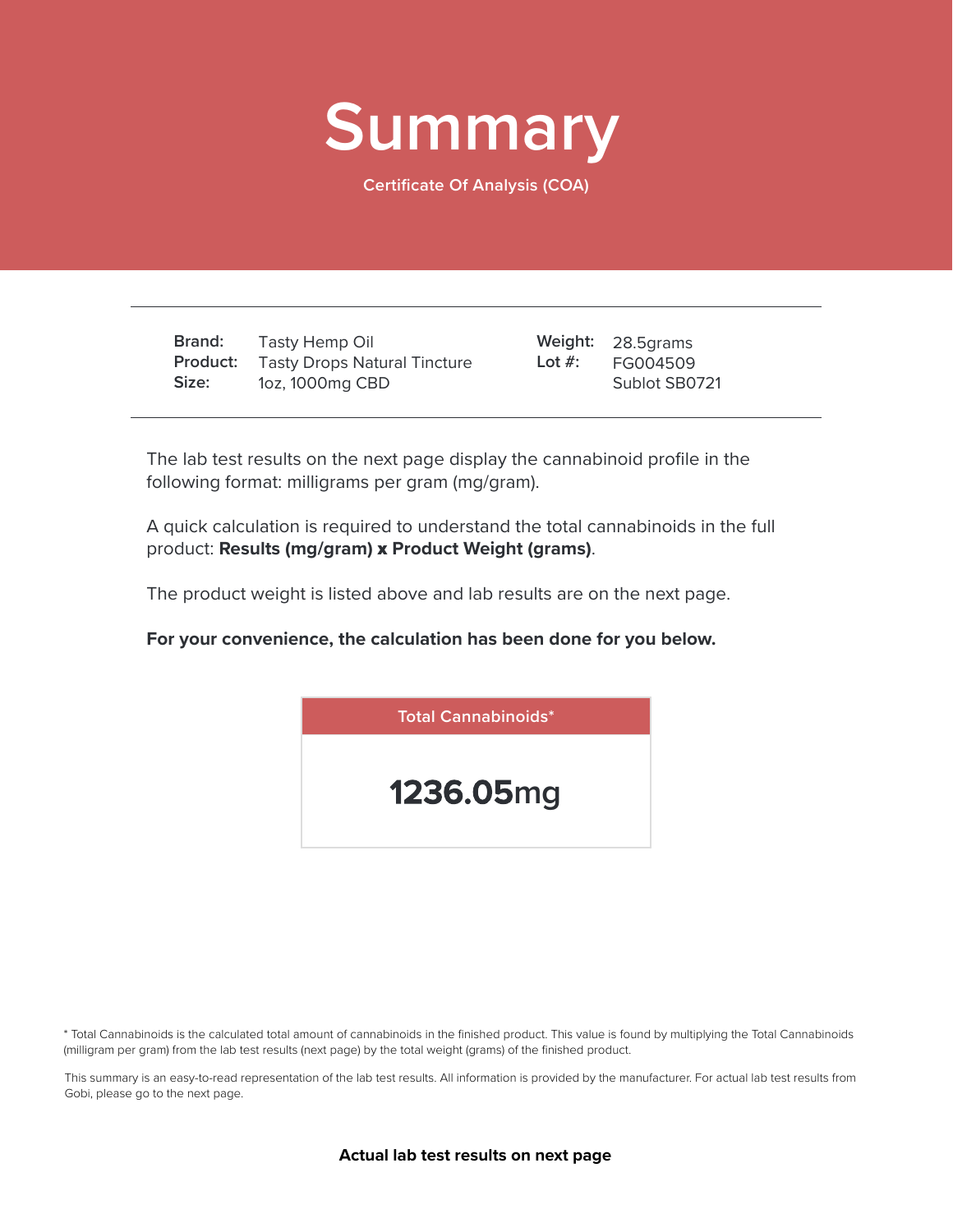

**Certificate Of Analysis (COA)**

**Brand: Product:** Tasty Drops Natural Tincture **Size:** Tasty Hemp Oil 1oz, 1000mg CBD

28.5grams **Weight:** FG004509 Sublot SB0721 **Lot #:**

The lab test results on the next page display the cannabinoid profile in the following format: milligrams per gram (mg/gram).

A quick calculation is required to understand the total cannabinoids in the full product: **Results (mg/gram)** x **Product Weight (grams)**.

The product weight is listed above and lab results are on the next page.

**For your convenience, the calculation has been done for you below.**



\* Total Cannabinoids is the calculated total amount of cannabinoids in the finished product. This value is found by multiplying the Total Cannabinoids (milligram per gram) from the lab test results (next page) by the total weight (grams) of the finished product.

This summary is an easy-to-read representation of the lab test results. All information is provided by the manufacturer. For actual lab test results from Gobi, please go to the next page.